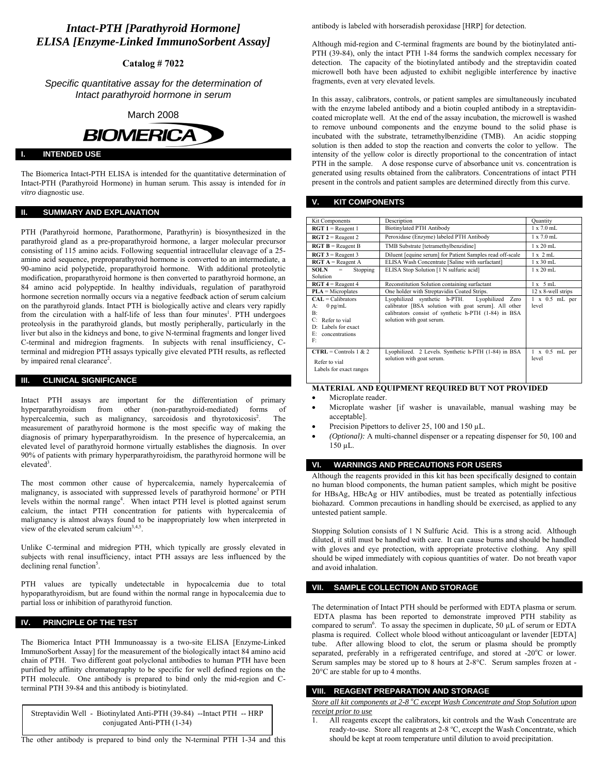# *Intact-PTH [Parathyroid Hormone] ELISA [Enzyme-Linked ImmunoSorbent Assay]*

**Catalog # 7022** 

*Specific quantitative assay for the determination of Intact parathyroid hormone in serum* 

March 2008



## **INTENDED USE**

The Biomerica Intact-PTH ELISA is intended for the quantitative determination of Intact-PTH (Parathyroid Hormone) in human serum. This assay is intended for *in vitro* diagnostic use.

## **II. SUMMARY AND EXPLANATION**

PTH (Parathyroid hormone, Parathormone, Parathyrin) is biosynthesized in the parathyroid gland as a pre-proparathyroid hormone, a larger molecular precursor consisting of 115 amino acids. Following sequential intracellular cleavage of a 25 amino acid sequence, preproparathyroid hormone is converted to an intermediate, a 90-amino acid polypetide, proparathyroid hormone. With additional proteolytic modification, proparathyroid hormone is then converted to parathyroid hormone, an 84 amino acid polypeptide. In healthy individuals, regulation of parathyroid hormone secretion normally occurs via a negative feedback action of serum calcium on the parathyroid glands. Intact PTH is biologically active and clears very rapidly from the circulation with a half-life of less than four minutes<sup>1</sup>. PTH undergoes proteolysis in the parathyroid glands, but mostly peripherally, particularly in the liver but also in the kidneys and bone, to give N-terminal fragments and longer lived C-terminal and midregion fragments. In subjects with renal insufficiency, Cterminal and midregion PTH assays typically give elevated PTH results, as reflected by impaired renal clearance<sup>2</sup>.

## **III. CLINICAL SIGNIFICANCE**

Intact PTH assays are important for the differentiation of primary hyperparathyroidism from other (non-parathyroid-mediated) forms of hypercalcemia, such as malignancy, sarcoidosis and thyrotoxicosis<sup>2</sup>. . The measurement of parathyroid hormone is the most specific way of making the diagnosis of primary hyperparathyroidism. In the presence of hypercalcemia, an elevated level of parathyroid hormone virtually establishes the diagnosis. In over 90% of patients with primary hyperparathyroidism, the parathyroid hormone will be elevate $\overline{d}^3$ .

The most common other cause of hypercalcemia, namely hypercalcemia of malignancy, is associated with suppressed levels of parathyroid hormone<sup>3</sup> or PTH levels within the normal range<sup>4</sup>. When intact PTH level is plotted against serum calcium, the intact PTH concentration for patients with hypercalcemia of malignancy is almost always found to be inappropriately low when interpreted in view of the elevated serum calcium<sup>3,4,5</sup>.

Unlike C-terminal and midregion PTH, which typically are grossly elevated in subjects with renal insufficiency, intact PTH assays are less influenced by the declining renal function<sup>5</sup>.

PTH values are typically undetectable in hypocalcemia due to total hypoparathyroidism, but are found within the normal range in hypocalcemia due to partial loss or inhibition of parathyroid function.

## **PRINCIPLE OF THE TEST**

The Biomerica Intact PTH Immunoassay is a two-site ELISA [Enzyme-Linked ImmunoSorbent Assay] for the measurement of the biologically intact 84 amino acid chain of PTH. Two different goat polyclonal antibodies to human PTH have been purified by affinity chromatography to be specific for well defined regions on the PTH molecule. One antibody is prepared to bind only the mid-region and Cterminal PTH 39-84 and this antibody is biotinylated.

Streptavidin Well - Biotinylated Anti-PTH (39-84) --Intact PTH -- HRP conjugated Anti-PTH (1-34)

The other antibody is prepared to bind only the N-terminal PTH 1-34 and this

antibody is labeled with horseradish peroxidase [HRP] for detection.

Although mid-region and C-terminal fragments are bound by the biotinylated anti-PTH (39-84), only the intact PTH 1-84 forms the sandwich complex necessary for detection. The capacity of the biotinylated antibody and the streptavidin coated microwell both have been adjusted to exhibit negligible interference by inactive fragments, even at very elevated levels.

In this assay, calibrators, controls, or patient samples are simultaneously incubated with the enzyme labeled antibody and a biotin coupled antibody in a streptavidincoated microplate well. At the end of the assay incubation, the microwell is washed to remove unbound components and the enzyme bound to the solid phase is incubated with the substrate, tetramethylbenzidine (TMB). An acidic stopping solution is then added to stop the reaction and converts the color to yellow. The intensity of the yellow color is directly proportional to the concentration of intact PTH in the sample. A dose response curve of absorbance unit vs. concentration is generated using results obtained from the calibrators. Concentrations of intact PTH present in the controls and patient samples are determined directly from this curve.

#### **V. KIT COMPONENTS**

| <b>Kit Components</b>                                                                                                                   | Description                                                                                                                                                                                      | Quantity                       |
|-----------------------------------------------------------------------------------------------------------------------------------------|--------------------------------------------------------------------------------------------------------------------------------------------------------------------------------------------------|--------------------------------|
| $\textbf{RGT} \textbf{1} = \text{Reagent} \textbf{1}$                                                                                   | <b>Biotinylated PTH Antibody</b>                                                                                                                                                                 | $1 \times 70$ mL               |
| $\textbf{RGT } 2 = \text{Reagent } 2$                                                                                                   | Peroxidase (Enzyme) labeled PTH Antibody                                                                                                                                                         | $1 \times 70$ mL               |
| $\overline{RGT}$ B = Reagent B                                                                                                          | TMB Substrate [tetramethylbenzidine]                                                                                                                                                             | $1 \times 20$ mL               |
| $\overline{RGT}$ 3 = Reagent 3                                                                                                          | Diluent [equine serum] for Patient Samples read off-scale                                                                                                                                        | $1 \times 2$ mL                |
| $\bf RGT \bf{A}$ = Reagent A                                                                                                            | ELISA Wash Concentrate [Saline with surfactant]                                                                                                                                                  | $1 \times 30$ mL               |
| SOLN –<br>Stopping<br>$=$<br>Solution                                                                                                   | ELISA Stop Solution [1 N sulfuric acid]                                                                                                                                                          | $1 \times 20$ mL               |
| $\bf RGT 4$ = Reagent 4                                                                                                                 | Reconstitution Solution containing surfactant                                                                                                                                                    | $1 \times 5$ mL                |
| $PLA = Microplates$                                                                                                                     | One holder with Streptavidin Coated Strips.                                                                                                                                                      | 12 x 8-well strips             |
| $CAL = Calibrators$<br>$0$ pg/mL<br>A:<br>$\mathbf{B}$<br>Refer to vial<br>C<br>Labels for exact<br>DΞ<br>E۰<br>concentrations<br>$F^+$ | Lyophilized synthetic h-PTH.<br>Lyophilized<br>Zero<br>calibrator [BSA solution with goat serum]. All other<br>calibrators consist of synthetic h-PTH (1-84) in BSA<br>solution with goat serum. | $1 \times 0.5$ mL per<br>level |
| $CTRL =$ Controls 1 & 2<br>Refer to vial<br>Labels for exact ranges                                                                     | Lyophilized. 2 Levels. Synthetic h-PTH (1-84) in BSA<br>solution with goat serum.                                                                                                                | $1 \times 0.5$ mL per<br>level |

## **MATERIAL AND EQUIPMENT REQUIRED BUT NOT PROVIDED**

- Microplate reader.
- Microplate washer [if washer is unavailable, manual washing may be acceptable].
- Precision Pipettors to deliver 25, 100 and 150 µL.
- *(Optional):* A multi-channel dispenser or a repeating dispenser for 50, 100 and 150 µL.

### **VI. WARNINGS AND PRECAUTIONS FOR USERS**

Although the reagents provided in this kit has been specifically designed to contain no human blood components, the human patient samples, which might be positive for HBsAg, HBcAg or HIV antibodies, must be treated as potentially infectious biohazard. Common precautions in handling should be exercised, as applied to any untested patient sample.

Stopping Solution consists of 1 N Sulfuric Acid. This is a strong acid. Although diluted, it still must be handled with care. It can cause burns and should be handled with gloves and eye protection, with appropriate protective clothing. Any spill should be wiped immediately with copious quantities of water. Do not breath vapor and avoid inhalation.

### **SAMPLE COLLECTION AND STORAGE**

The determination of Intact PTH should be performed with EDTA plasma or serum. EDTA plasma has been reported to demonstrate improved PTH stability as compared to serum<sup>6</sup>. To assay the specimen in duplicate, 50  $\mu$ L of serum or EDTA plasma is required. Collect whole blood without anticoagulant or lavender [EDTA] tube. After allowing blood to clot, the serum or plasma should be promptly separated, preferably in a refrigerated centrifuge, and stored at -20 $^{\circ}$ C or lower. Serum samples may be stored up to 8 hours at 2-8°C. Serum samples frozen at - 20°C are stable for up to 4 months.

## **VIII. REAGENT PREPARATION AND STORAGE**

*Store all kit components at 2-8 <sup>o</sup> C except Wash Concentrate and Stop Solution upon receipt prior to use*

1. All reagents except the calibrators, kit controls and the Wash Concentrate are ready-to-use. Store all reagents at 2-8 °C, except the Wash Concentrate, which should be kept at room temperature until dilution to avoid precipitation.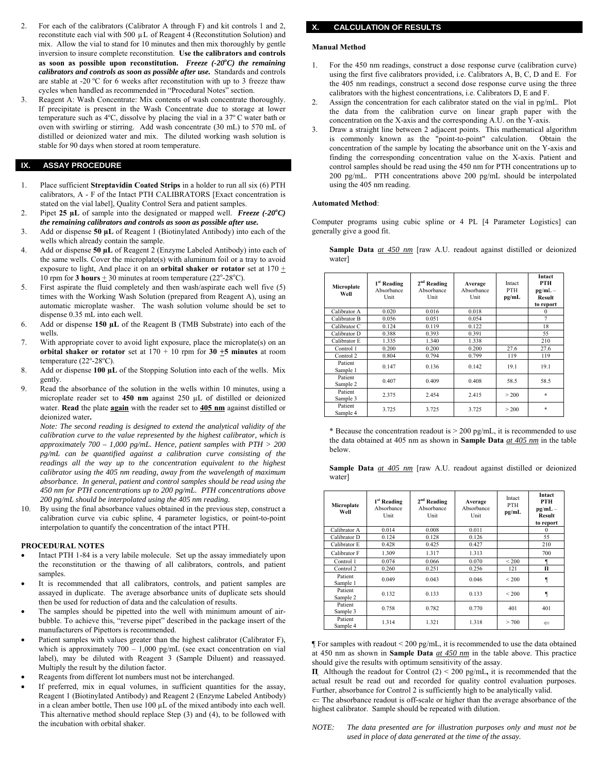- 2. For each of the calibrators (Calibrator A through F) and kit controls 1 and 2, reconstitute each vial with 500  $\mu$ L of Reagent 4 (Reconstitution Solution) and mix. Allow the vial to stand for 10 minutes and then mix thoroughly by gentle inversion to insure complete reconstitution. **Use the calibrators and controls as soon as possible upon reconstitution.** *Freeze (-20<sup>o</sup> C) the remaining calibrators and controls as soon as possible after use.* Standards and controls are stable at -20  $^{\circ}$ C for 6 weeks after reconstitution with up to 3 freeze thaw cycles when handled as recommended in "Procedural Notes" section.
- 3. Reagent A: Wash Concentrate: Mix contents of wash concentrate thoroughly. If precipitate is present in the Wash Concentrate due to storage at lower temperature such as  $4^{\circ}$ C, dissolve by placing the vial in a  $37^{\circ}$ C water bath or oven with swirling or stirring. Add wash concentrate (30 mL) to 570 mL of distilled or deionized water and mix. The diluted working wash solution is stable for 90 days when stored at room temperature.

## **IX. ASSAY PROCEDURE**

- 1. Place sufficient **Streptavidin Coated Strips** in a holder to run all six (6) PTH calibrators, A - F of the Intact PTH CALIBRATORS [Exact concentration is stated on the vial label], Quality Control Sera and patient samples.
- 2. Pipet **25 µL** of sample into the designated or mapped well. *Freeze (-20<sup>o</sup> C) the remaining calibrators and controls as soon as possible after use.*
- 3. Add or dispense **50 µL** of Reagent 1 (Biotinylated Antibody) into each of the wells which already contain the sample.
- 4. Add or dispense **50 µL** of Reagent 2 (Enzyme Labeled Antibody) into each of the same wells. Cover the microplate(s) with aluminum foil or a tray to avoid exposure to light, And place it on an **orbital shaker or rotator** set at  $170 \pm$ 10 rpm for **3 hours**  $\pm$  30 minutes at room temperature (22<sup>o</sup>-28<sup>o</sup>C).
- 5. First aspirate the fluid completely and then wash/aspirate each well five (5) times with the Working Wash Solution (prepared from Reagent A), using an automatic microplate washer. The wash solution volume should be set to dispense 0.35 mL into each well.
- 6. Add or dispense **150 µL** of the Reagent B (TMB Substrate) into each of the wells.
- 7. With appropriate cover to avoid light exposure, place the microplate(s) on an **orbital shaker or rotator** set at  $170 + 10$  rpm for  $30 + 5$  minutes at room temperature  $(22^{\circ}$ -28 $^{\circ}$ C).
- 8. Add or dispense **100 µL** of the Stopping Solution into each of the wells. Mix gently.
- Read the absorbance of the solution in the wells within 10 minutes, using a microplate reader set to **450 nm** against 250 µL of distilled or deionized water. **Read** the plate **again** with the reader set to **405 nm** against distilled or deionized water**.**

*Note: The second reading is designed to extend the analytical validity of the calibration curve to the value represented by the highest calibrator, which is approximately 700 – 1,000 pg/mL. Hence, patient samples with PTH > 200 pg/mL can be quantified against a calibration curve consisting of the readings all the way up to the concentration equivalent to the highest calibrator using the 405 nm reading, away from the wavelength of maximum absorbance. In general, patient and control samples should be read using the 450 nm for PTH concentrations up to 200 pg/mL. PTH concentrations above 200 pg/mL should be interpolated using the 405 nm reading.* 

10. By using the final absorbance values obtained in the previous step, construct a calibration curve via cubic spline, 4 parameter logistics, or point-to-point interpolation to quantify the concentration of the intact PTH.

#### **PROCEDURAL NOTES**

- Intact PTH 1-84 is a very labile molecule. Set up the assay immediately upon the reconstitution or the thawing of all calibrators, controls, and patient samples.
- It is recommended that all calibrators, controls, and patient samples are assayed in duplicate. The average absorbance units of duplicate sets should then be used for reduction of data and the calculation of results.
- The samples should be pipetted into the well with minimum amount of airbubble. To achieve this, "reverse pipet" described in the package insert of the manufacturers of Pipettors is recommended.
- Patient samples with values greater than the highest calibrator (Calibrator F), which is approximately  $700 - 1,000$  pg/mL (see exact concentration on vial label), may be diluted with Reagent 3 (Sample Diluent) and reassayed. Multiply the result by the dilution factor.
- Reagents from different lot numbers must not be interchanged.
- If preferred, mix in equal volumes, in sufficient quantities for the assay, Reagent 1 (Biotinylated Antibody) and Reagent 2 (Enzyme Labeled Antibody) in a clean amber bottle, Then use 100 µL of the mixed antibody into each well. This alternative method should replace Step (3) and (4), to be followed with the incubation with orbital shaker.

## **X. CALCULATION OF RESULTS**

### **Manual Method**

- 1. For the 450 nm readings, construct a dose response curve (calibration curve) using the first five calibrators provided, i.e. Calibrators A, B, C, D and E. For the 405 nm readings, construct a second dose response curve using the three calibrators with the highest concentrations, i.e. Calibrators D, E and F.
- 2. Assign the concentration for each calibrator stated on the vial in pg/mL. Plot the data from the calibration curve on linear graph paper with the concentration on the X-axis and the corresponding A.U. on the Y-axis.
- 3. Draw a straight line between 2 adjacent points. This mathematical algorithm is commonly known as the "point-to-point" calculation. Obtain the concentration of the sample by locating the absorbance unit on the Y-axis and finding the corresponding concentration value on the X-axis. Patient and control samples should be read using the 450 nm for PTH concentrations up to 200 pg/mL. PTH concentrations above 200 pg/mL should be interpolated using the 405 nm reading.

#### **Automated Method**:

Computer programs using cubic spline or 4 PL [4 Parameter Logistics] can generally give a good fit.

**Sample Data** *at 450 nm* [raw A.U. readout against distilled or deionized water]

| Microplate<br>Well  | 1 <sup>st</sup> Reading<br>Absorbance<br>Unit | $2nd$ Reading<br>Absorbance<br>Unit | Average<br>Absorbance<br>Unit | Intact<br><b>PTH</b><br>pg/mL | Intact<br><b>PTH</b><br>$pg/mL -$<br><b>Result</b><br>to report |
|---------------------|-----------------------------------------------|-------------------------------------|-------------------------------|-------------------------------|-----------------------------------------------------------------|
| Calibrator A        | 0.020                                         | 0.016                               | 0.018                         |                               | $\Omega$                                                        |
| Calibrator B        | 0.056                                         | 0.051                               | 0.054                         |                               | 7                                                               |
| Calibrator C        | 0.124                                         | 0.119                               | 0.122                         |                               | 18                                                              |
| Calibrator D        | 0.388                                         | 0.393                               | 0.391                         |                               | 55                                                              |
| Calibrator E        | 1.335                                         | 1.340                               | 1.338                         |                               | 210                                                             |
| Control 1           | 0.200                                         | 0.200                               | 0.200                         | 27.6                          | 27.6                                                            |
| Control 2           | 0.804                                         | 0.794                               | 0.799                         | 119                           | 119                                                             |
| Patient<br>Sample 1 | 0.147                                         | 0.136                               | 0 1 4 2                       | 191                           | 191                                                             |
| Patient<br>Sample 2 | 0.407                                         | 0.409                               | 0.408                         | 58.5                          | 58.5                                                            |
| Patient<br>Sample 3 | 2.375                                         | 2.454                               | 2.415                         | > 200                         | $\star$                                                         |
| Patient<br>Sample 4 | 3.725                                         | 3.725                               | 3.725                         | > 200                         | $\star$                                                         |

\* Because the concentration readout is  $> 200$  pg/mL, it is recommended to use the data obtained at 405 nm as shown in **Sample Data** *at 405 nm* in the table below.

|        |  |  |  |  |  | <b>Sample Data</b> $at$ 405 nm [raw A.U. readout against distilled or deionized |
|--------|--|--|--|--|--|---------------------------------------------------------------------------------|
| water] |  |  |  |  |  |                                                                                 |

| Microplate<br>Well  | 1 <sup>st</sup> Reading<br>Absorbance<br>Unit | $2nd$ Reading<br>Absorbance<br>Unit | Average<br>Absorbance<br>Unit | Intact<br><b>PTH</b><br>pg/mL | Intact<br><b>PTH</b><br>$pg/mL -$<br><b>Result</b><br>to report |
|---------------------|-----------------------------------------------|-------------------------------------|-------------------------------|-------------------------------|-----------------------------------------------------------------|
| Calibrator A        | 0.014                                         | 0.008                               | 0.011                         |                               | $\Omega$                                                        |
| Calibrator D        | 0.124                                         | 0.128                               | 0.126                         |                               | 55                                                              |
| Calibrator E        | 0.428                                         | 0.425                               | 0.427                         |                               | 210                                                             |
| Calibrator F        | 1.309                                         | 1.317                               | 1.313                         |                               | 700                                                             |
| Control 1           | 0.074                                         | 0.066                               | 0.070                         | ${}_{< 200}$                  | €                                                               |
| Control 2           | 0.260                                         | 0.251                               | 0.256                         | 121                           | п                                                               |
| Patient<br>Sample 1 | 0.049                                         | 0.043                               | 0.046                         | ${}_{< 200}$                  |                                                                 |
| Patient<br>Sample 2 | 0.132                                         | 0.133                               | 0.133                         | < 200                         |                                                                 |
| Patient<br>Sample 3 | 0.758                                         | 0.782                               | 0.770                         | 401                           | 401                                                             |
| Patient<br>Sample 4 | 1.314                                         | 1.321                               | 1.318                         | > 700                         | $\Leftarrow$                                                    |

¶ For samples with readout < 200 pg/mL, it is recommended to use the data obtained at 450 nm as shown in **Sample Data** *at 450 nm* in the table above. This practice should give the results with optimum sensitivity of the assay.

**Π** Although the readout for Control (2) < 200 pg/mL**,** it is recommended that the actual result be read out and recorded for quality control evaluation purposes. Further, absorbance for Control 2 is sufficiently high to be analytically valid.

 $\Leftarrow$  The absorbance readout is off-scale or higher than the average absorbance of the highest calibrator. Sample should be repeated with dilution.

*NOTE: The data presented are for illustration purposes only and must not be used in place of data generated at the time of the assay.*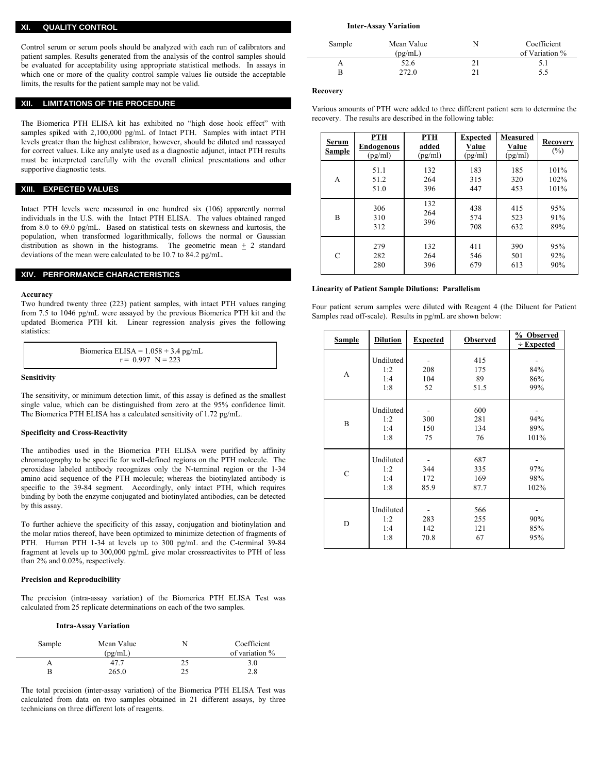#### **XI. QUALITY CONTROL**

Control serum or serum pools should be analyzed with each run of calibrators and patient samples. Results generated from the analysis of the control samples should be evaluated for acceptability using appropriate statistical methods. In assays in which one or more of the quality control sample values lie outside the acceptable limits, the results for the patient sample may not be valid.

#### **XII. LIMITATIONS OF THE PROCEDURE**

The Biomerica PTH ELISA kit has exhibited no "high dose hook effect" with samples spiked with 2,100,000 pg/mL of Intact PTH. Samples with intact PTH levels greater than the highest calibrator, however, should be diluted and reassayed for correct values. Like any analyte used as a diagnostic adjunct, intact PTH results must be interpreted carefully with the overall clinical presentations and other supportive diagnostic tests.

## **XIII. EXPECTED VALUES**

Intact PTH levels were measured in one hundred six (106) apparently normal individuals in the U.S. with the Intact PTH ELISA. The values obtained ranged from 8.0 to 69.0 pg/mL. Based on statistical tests on skewness and kurtosis, the population, when transformed logarithmically, follows the normal or Gaussian distribution as shown in the histograms. The geometric mean  $\pm$  2 standard deviations of the mean were calculated to be 10.7 to 84.2 pg/mL.

### **XIV. PERFORMANCE CHARACTERISTICS**

#### **Accuracy**

Two hundred twenty three (223) patient samples, with intact PTH values ranging from 7.5 to 1046 pg/mL were assayed by the previous Biomerica PTH kit and the updated Biomerica PTH kit. Linear regression analysis gives the following statistics<sup>.</sup>

| Biomerica ELISA = $1.058 + 3.4$ pg/mL |  |
|---------------------------------------|--|
| $r = 0.997$ N = 223                   |  |

#### **Sensitivity**

The sensitivity, or minimum detection limit, of this assay is defined as the smallest single value, which can be distinguished from zero at the 95% confidence limit. The Biomerica PTH ELISA has a calculated sensitivity of 1.72 pg/mL.

#### **Specificity and Cross-Reactivity**

The antibodies used in the Biomerica PTH ELISA were purified by affinity chromatography to be specific for well-defined regions on the PTH molecule. The peroxidase labeled antibody recognizes only the N-terminal region or the 1-34 amino acid sequence of the PTH molecule; whereas the biotinylated antibody is specific to the 39-84 segment. Accordingly, only intact PTH, which requires binding by both the enzyme conjugated and biotinylated antibodies, can be detected by this assay.

To further achieve the specificity of this assay, conjugation and biotinylation and the molar ratios thereof, have been optimized to minimize detection of fragments of PTH. Human PTH 1-34 at levels up to 300 pg/mL and the C-terminal 39-84 fragment at levels up to 300,000 pg/mL give molar crossreactivites to PTH of less than 2% and 0.02%, respectively.

### **Precision and Reproducibility**

The precision (intra-assay variation) of the Biomerica PTH ELISA Test was calculated from 25 replicate determinations on each of the two samples.

#### **Intra-Assay Variation**

| Sample | Mean Value<br>(pg/mL) |    | Coefficient<br>of variation % |
|--------|-----------------------|----|-------------------------------|
|        | 47.7                  | 25 | 3.0                           |
|        | 265.0                 | 25 | 2.8                           |

The total precision (inter-assay variation) of the Biomerica PTH ELISA Test was calculated from data on two samples obtained in 21 different assays, by three technicians on three different lots of reagents.

#### **Inter-Assay Variation**

| 52.6<br>າ 1 | Sample | Mean Value<br>(pg/mL) | N | Coefficient<br>of Variation % |
|-------------|--------|-----------------------|---|-------------------------------|
|             |        | 272.0                 |   | 5.5                           |

### **Recovery**

| Various amounts of PTH were added to three different patient sera to determine the |  |  |  |  |
|------------------------------------------------------------------------------------|--|--|--|--|
| recovery. The results are described in the following table:                        |  |  |  |  |

| <b>Serum</b><br>Sample | <u>PTH</u><br><b>Endogenous</b><br>(pg/ml) | PTH<br>added<br>(pg/ml) | <b>Expected</b><br>Value<br>(pg/ml) | <b>Measured</b><br>Value<br>(pg/ml) | <b>Recovery</b><br>$(\%)$ |
|------------------------|--------------------------------------------|-------------------------|-------------------------------------|-------------------------------------|---------------------------|
| A                      | 51.1<br>51.2<br>51.0                       | 132<br>264<br>396       | 183<br>315<br>447                   | 185<br>320<br>453                   | 101%<br>102%<br>101%      |
| B                      | 306<br>310<br>312                          | 132<br>264<br>396       | 438<br>574<br>708                   | 415<br>523<br>632                   | 95%<br>91%<br>89%         |
| C                      | 279<br>282<br>280                          | 132<br>264<br>396       | 411<br>546<br>679                   | 390<br>501<br>613                   | 95%<br>92%<br>90%         |

#### **Linearity of Patient Sample Dilutions: Parallelism**

Four patient serum samples were diluted with Reagent 4 (the Diluent for Patient Samples read off-scale). Results in pg/mL are shown below:

| <b>Sample</b> | <b>Dilution</b>                | <b>Expected</b>    | <b>Observed</b>           | % Observed<br>$\div$ Expected |
|---------------|--------------------------------|--------------------|---------------------------|-------------------------------|
| A             | Undiluted<br>1:2<br>1:4<br>1:8 | 208<br>104<br>52   | 415<br>175<br>89<br>51.5  | 84%<br>86%<br>99%             |
| B             | Undiluted<br>1:2<br>1:4<br>1:8 | 300<br>150<br>75   | 600<br>281<br>134<br>76   | 94%<br>89%<br>101%            |
| $\mathcal{C}$ | Undiluted<br>1:2<br>1:4<br>1:8 | 344<br>172<br>85.9 | 687<br>335<br>169<br>87.7 | 97%<br>98%<br>102%            |
| D             | Undiluted<br>1:2<br>1:4<br>1:8 | 283<br>142<br>70.8 | 566<br>255<br>121<br>67   | 90%<br>85%<br>95%             |